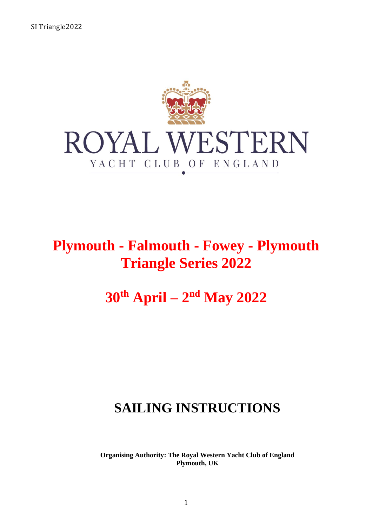

# **Plymouth - Falmouth - Fowey - Plymouth Triangle Series 2022**

# **30th April – 2 nd May 2022**

# **SAILING INSTRUCTIONS**

**Organising Authority: The Royal Western Yacht Club of England Plymouth, UK**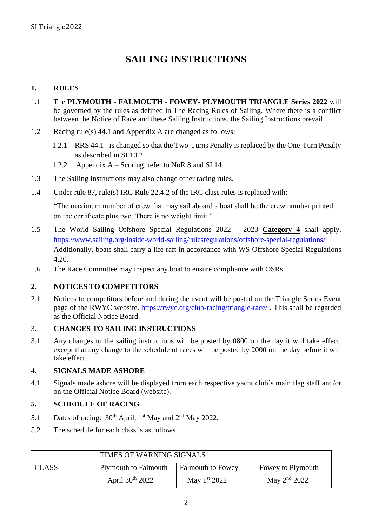## **SAILING INSTRUCTIONS**

#### **1. RULES**

- 1.1 The **PLYMOUTH - FALMOUTH - FOWEY- PLYMOUTH TRIANGLE Series 2022** will be governed by the rules as defined in The Racing Rules of Sailing. Where there is a conflict between the Notice of Race and these Sailing Instructions, the Sailing Instructions prevail.
- 1.2 Racing rule(s) 44.1 and Appendix A are changed as follows:
	- 1.2.1 RRS 44.1 is changed so that the Two-Turns Penalty is replaced by the One-Turn Penalty as described in SI 10.2.
	- 1.2.2 Appendix A Scoring, refer to NoR 8 and SI 14
- 1.3 The Sailing Instructions may also change other racing rules.
- 1.4 Under rule 87, rule(s) IRC Rule 22.4.2 of the IRC class rules is replaced with:

"The maximum number of crew that may sail aboard a boat shall be the crew number printed on the certificate plus two. There is no weight limit."

- 1.5 The World Sailing Offshore Special Regulations 2022 2023 **Category 4** shall apply. <https://www.sailing.org/inside-world-sailing/rulesregulations/offshore-special-regulations/> Additionally, boats shall carry a life raft in accordance with WS Offshore Special Regulations 4.20.
- 1.6 The Race Committee may inspect any boat to ensure compliance with OSRs.

#### **2. NOTICES TO COMPETITORS**

2.1 Notices to competitors before and during the event will be posted on the Triangle Series Event page of the RWYC website. <https://rwyc.org/club-racing/triangle-race/> . This shall be regarded as the Official Notice Board.

#### 3. **CHANGES TO SAILING INSTRUCTIONS**

3.1 Any changes to the sailing instructions will be posted by 0800 on the day it will take effect, except that any change to the schedule of races will be posted by 2000 on the day before it will take effect.

#### 4. **SIGNALS MADE ASHORE**

4.1 Signals made ashore will be displayed from each respective yacht club's main flag staff and/or on the Official Notice Board (website).

#### **5. SCHEDULE OF RACING**

- 5.1 Dates of racing:  $30^{th}$  April, 1<sup>st</sup> May and  $2^{nd}$  May 2022.
- 5.2 The schedule for each class is as follows

|              | TIMES OF WARNING SIGNALS    |                          |                   |  |
|--------------|-----------------------------|--------------------------|-------------------|--|
| <b>CLASS</b> | <b>Plymouth to Falmouth</b> | <b>Falmouth to Fowey</b> | Fowey to Plymouth |  |
|              | April $30th 2022$           | May $1^{st}$ 2022        | May $2^{nd}$ 2022 |  |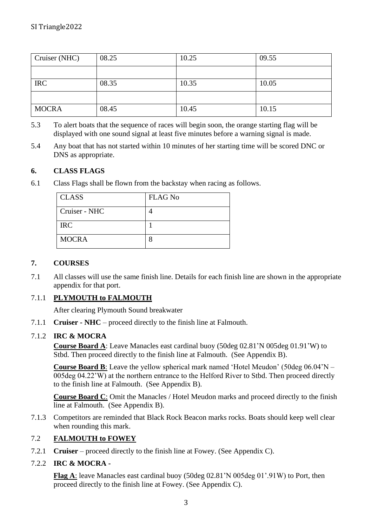| Cruiser (NHC) | 08.25 | 10.25 | 09.55 |
|---------------|-------|-------|-------|
|               |       |       |       |
| <b>IRC</b>    | 08.35 | 10.35 | 10.05 |
|               |       |       |       |
| <b>MOCRA</b>  | 08.45 | 10.45 | 10.15 |

- 5.3 To alert boats that the sequence of races will begin soon, the orange starting flag will be displayed with one sound signal at least five minutes before a warning signal is made.
- 5.4 Any boat that has not started within 10 minutes of her starting time will be scored DNC or DNS as appropriate.

#### **6. CLASS FLAGS**

6.1 Class Flags shall be flown from the backstay when racing as follows.

| <b>CLASS</b>  | <b>FLAG No</b> |
|---------------|----------------|
| Cruiser - NHC |                |
| <b>IRC</b>    |                |
| <b>MOCRA</b>  |                |

#### **7. COURSES**

7.1 All classes will use the same finish line. Details for each finish line are shown in the appropriate appendix for that port.

#### 7.1.1 **PLYMOUTH to FALMOUTH**

After clearing Plymouth Sound breakwater

7.1.1 **Cruiser - NHC** – proceed directly to the finish line at Falmouth.

#### 7.1.2 **IRC & MOCRA**

**Course Board A**: Leave Manacles east cardinal buoy (50deg 02.81'N 005deg 01.91'W) to Stbd. Then proceed directly to the finish line at Falmouth. (See Appendix B).

**Course Board B**: Leave the yellow spherical mark named 'Hotel Meudon' (50deg 06.04'N – 005deg 04.22'W) at the northern entrance to the Helford River to Stbd. Then proceed directly to the finish line at Falmouth. (See Appendix B).

**Course Board C**: Omit the Manacles / Hotel Meudon marks and proceed directly to the finish line at Falmouth. (See Appendix B).

7.1.3 Competitors are reminded that Black Rock Beacon marks rocks. Boats should keep well clear when rounding this mark.

#### 7.2 **FALMOUTH to FOWEY**

7.2.1 **Cruiser** – proceed directly to the finish line at Fowey. (See Appendix C).

#### 7.2.2 **IRC & MOCRA -**

**Flag A**: leave Manacles east cardinal buoy (50deg 02.81'N 005deg 01'.91W) to Port, then proceed directly to the finish line at Fowey. (See Appendix C).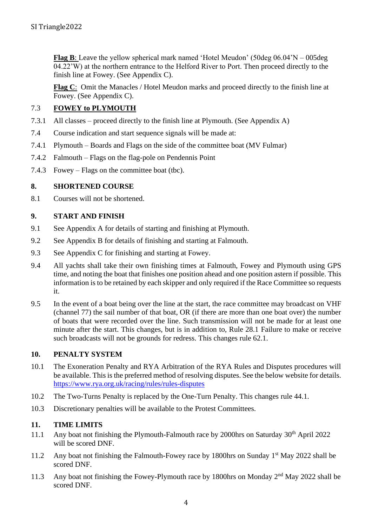**Flag B**: Leave the yellow spherical mark named 'Hotel Meudon' (50deg 06.04'N – 005deg 04.22'W) at the northern entrance to the Helford River to Port. Then proceed directly to the finish line at Fowey. (See Appendix C).

**Flag C**: Omit the Manacles / Hotel Meudon marks and proceed directly to the finish line at Fowey. (See Appendix C).

#### 7.3 **FOWEY to PLYMOUTH**

- 7.3.1 All classes proceed directly to the finish line at Plymouth. (See Appendix A)
- 7.4 Course indication and start sequence signals will be made at:
- 7.4.1 Plymouth Boards and Flags on the side of the committee boat (MV Fulmar)
- 7.4.2 Falmouth Flags on the flag-pole on Pendennis Point
- 7.4.3 Fowey Flags on the committee boat (tbc).

#### **8. SHORTENED COURSE**

8.1 Courses will not be shortened.

#### **9. START AND FINISH**

- 9.1 See Appendix A for details of starting and finishing at Plymouth.
- 9.2 See Appendix B for details of finishing and starting at Falmouth.
- 9.3 See Appendix C for finishing and starting at Fowey.
- 9.4 All yachts shall take their own finishing times at Falmouth, Fowey and Plymouth using GPS time, and noting the boat that finishes one position ahead and one position astern if possible. This information is to be retained by each skipper and only required if the Race Committee so requests it.
- 9.5 In the event of a boat being over the line at the start, the race committee may broadcast on VHF (channel 77) the sail number of that boat, OR (if there are more than one boat over) the number of boats that were recorded over the line. Such transmission will not be made for at least one minute after the start. This changes, but is in addition to, Rule 28.1 Failure to make or receive such broadcasts will not be grounds for redress. This changes rule 62.1.

#### **10. PENALTY SYSTEM**

- 10.1 The Exoneration Penalty and RYA Arbitration of the RYA Rules and Disputes procedures will be available. This is the preferred method of resolving disputes. See the below website for details. <https://www.rya.org.uk/racing/rules/rules-disputes>
- 10.2 The Two-Turns Penalty is replaced by the One-Turn Penalty. This changes rule 44.1.
- 10.3 Discretionary penalties will be available to the Protest Committees.

#### **11. TIME LIMITS**

- 11.1 Any boat not finishing the Plymouth-Falmouth race by 2000hrs on Saturday  $30<sup>th</sup>$  April 2022 will be scored DNF.
- 11.2 Any boat not finishing the Falmouth-Fowey race by 1800hrs on Sunday 1<sup>st</sup> May 2022 shall be scored DNF.
- 11.3 Any boat not finishing the Fowey-Plymouth race by 1800hrs on Monday 2<sup>nd</sup> May 2022 shall be scored DNF.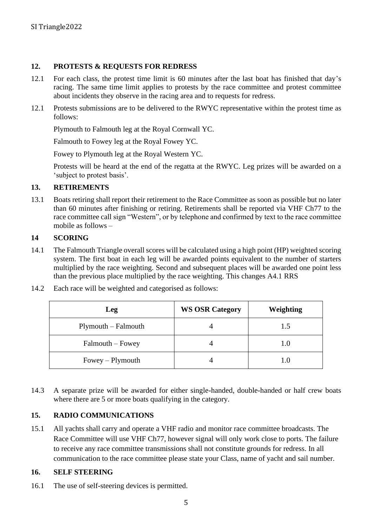#### **12. PROTESTS & REQUESTS FOR REDRESS**

- 12.1 For each class, the protest time limit is 60 minutes after the last boat has finished that day's racing. The same time limit applies to protests by the race committee and protest committee about incidents they observe in the racing area and to requests for redress.
- 12.1 Protests submissions are to be delivered to the RWYC representative within the protest time as follows:

Plymouth to Falmouth leg at the Royal Cornwall YC.

Falmouth to Fowey leg at the Royal Fowey YC.

Fowey to Plymouth leg at the Royal Western YC.

Protests will be heard at the end of the regatta at the RWYC. Leg prizes will be awarded on a 'subject to protest basis'.

#### **13. RETIREMENTS**

13.1 Boats retiring shall report their retirement to the Race Committee as soon as possible but no later than 60 minutes after finishing or retiring. Retirements shall be reported via VHF Ch77 to the race committee call sign "Western", or by telephone and confirmed by text to the race committee mobile as follows –

#### **14 SCORING**

- 14.1 The Falmouth Triangle overall scores will be calculated using a high point (HP) weighted scoring system. The first boat in each leg will be awarded points equivalent to the number of starters multiplied by the race weighting. Second and subsequent places will be awarded one point less than the previous place multiplied by the race weighting. This changes A4.1 RRS
- 14.2 Each race will be weighted and categorised as follows:

| Leg                   | <b>WS OSR Category</b> | Weighting |
|-----------------------|------------------------|-----------|
| $Plymouth - Falmouth$ |                        | 1.5       |
| Falmouth – Fowey      |                        | 1.0       |
| $Fowey$ – Plymouth    |                        | 1 O       |

14.3 A separate prize will be awarded for either single-handed, double-handed or half crew boats where there are 5 or more boats qualifying in the category.

#### **15. RADIO COMMUNICATIONS**

15.1 All yachts shall carry and operate a VHF radio and monitor race committee broadcasts. The Race Committee will use VHF Ch77, however signal will only work close to ports. The failure to receive any race committee transmissions shall not constitute grounds for redress. In all communication to the race committee please state your Class, name of yacht and sail number.

#### **16. SELF STEERING**

16.1 The use of self-steering devices is permitted.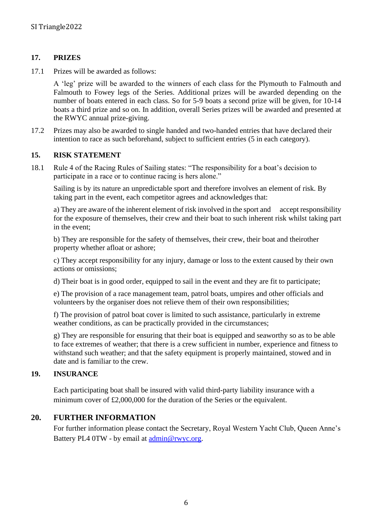#### **17. PRIZES**

17.1 Prizes will be awarded as follows:

A 'leg' prize will be awarded to the winners of each class for the Plymouth to Falmouth and Falmouth to Fowey legs of the Series. Additional prizes will be awarded depending on the number of boats entered in each class. So for 5-9 boats a second prize will be given, for 10-14 boats a third prize and so on. In addition, overall Series prizes will be awarded and presented at the RWYC annual prize-giving.

17.2 Prizes may also be awarded to single handed and two-handed entries that have declared their intention to race as such beforehand, subject to sufficient entries (5 in each category).

#### **15. RISK STATEMENT**

18.1 Rule 4 of the Racing Rules of Sailing states: "The responsibility for a boat's decision to participate in a race or to continue racing is hers alone."

Sailing is by its nature an unpredictable sport and therefore involves an element of risk. By taking part in the event, each competitor agrees and acknowledges that:

a) They are aware of the inherent element of risk involved in the sport and accept responsibility for the exposure of themselves, their crew and their boat to such inherent risk whilst taking part in the event;

b) They are responsible for the safety of themselves, their crew, their boat and theirother property whether afloat or ashore;

c) They accept responsibility for any injury, damage or loss to the extent caused by their own actions or omissions;

d) Their boat is in good order, equipped to sail in the event and they are fit to participate;

e) The provision of a race management team, patrol boats, umpires and other officials and volunteers by the organiser does not relieve them of their own responsibilities;

f) The provision of patrol boat cover is limited to such assistance, particularly in extreme weather conditions, as can be practically provided in the circumstances;

g) They are responsible for ensuring that their boat is equipped and seaworthy so as to be able to face extremes of weather; that there is a crew sufficient in number, experience and fitness to withstand such weather; and that the safety equipment is properly maintained, stowed and in date and is familiar to the crew.

#### **19. INSURANCE**

Each participating boat shall be insured with valid third-party liability insurance with a minimum cover of £2,000,000 for the duration of the Series or the equivalent.

#### **20. FURTHER INFORMATION**

For further information please contact the Secretary, Royal Western Yacht Club, Queen Anne's Battery PL4 0TW - by email at [admin@rwyc.org.](mailto:admin@rwyc.org)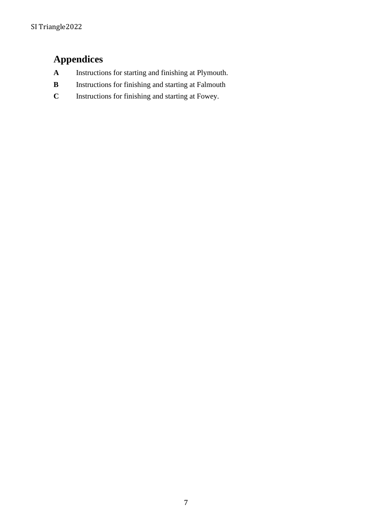# **Appendices**

- **A** Instructions for starting and finishing at Plymouth.
- **B** Instructions for finishing and starting at Falmouth
- **C** Instructions for finishing and starting at Fowey.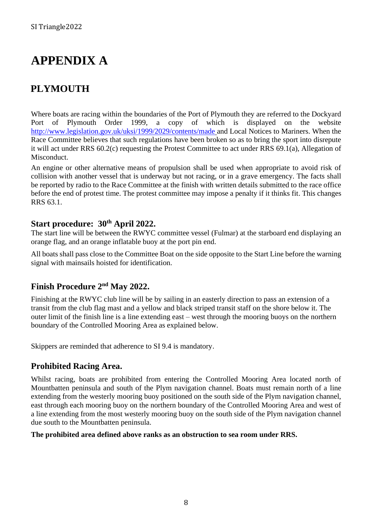# **APPENDIX A**

## **PLYMOUTH**

Where boats are racing within the boundaries of the Port of Plymouth they are referred to the Dockyard Port of Plymouth Order 1999, a copy of which is displayed on the website <http://www.legislation.gov.uk/uksi/1999/2029/contents/made> and Local Notices to Mariners. When the Race Committee believes that such regulations have been broken so as to bring the sport into disrepute it will act under RRS 60.2(c) requesting the Protest Committee to act under RRS 69.1(a), Allegation of Misconduct.

An engine or other alternative means of propulsion shall be used when appropriate to avoid risk of collision with another vessel that is underway but not racing, or in a grave emergency. The facts shall be reported by radio to the Race Committee at the finish with written details submitted to the race office before the end of protest time. The protest committee may impose a penalty if it thinks fit. This changes RRS 63.1.

### **Start procedure: 30th April 2022.**

The start line will be between the RWYC committee vessel (Fulmar) at the starboard end displaying an orange flag, and an orange inflatable buoy at the port pin end.

All boats shall pass close to the Committee Boat on the side opposite to the Start Line before the warning signal with mainsails hoisted for identification.

## **Finish Procedure 2<sup>nd</sup> May 2022.**

Finishing at the RWYC club line will be by sailing in an easterly direction to pass an extension of a transit from the club flag mast and a yellow and black striped transit staff on the shore below it. The outer limit of the finish line is a line extending east – west through the mooring buoys on the northern boundary of the Controlled Mooring Area as explained below.

Skippers are reminded that adherence to SI 9.4 is mandatory.

### **Prohibited Racing Area.**

Whilst racing, boats are prohibited from entering the Controlled Mooring Area located north of Mountbatten peninsula and south of the Plym navigation channel. Boats must remain north of a line extending from the westerly mooring buoy positioned on the south side of the Plym navigation channel, east through each mooring buoy on the northern boundary of the Controlled Mooring Area and west of a line extending from the most westerly mooring buoy on the south side of the Plym navigation channel due south to the Mountbatten peninsula.

#### **The prohibited area defined above ranks as an obstruction to sea room under RRS.**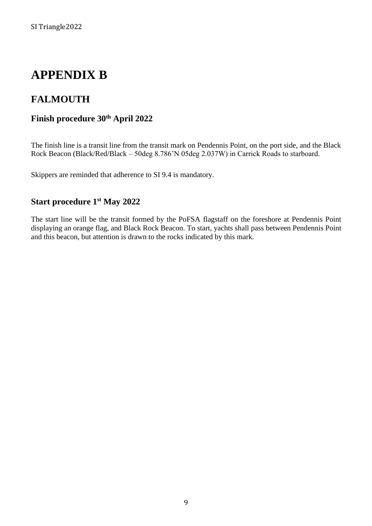# **APPENDIX B**

## **FALMOUTH**

## **Finish procedure 30th April 2022**

The finish line is a transit line from the transit mark on Pendennis Point, on the port side, and the Black Rock Beacon (Black/Red/Black – 50deg 8.786'N 05deg 2.037W) in Carrick Roads to starboard.

Skippers are reminded that adherence to SI 9.4 is mandatory.

## **Start procedure 1 st May 2022**

The start line will be the transit formed by the PoFSA flagstaff on the foreshore at Pendennis Point displaying an orange flag, and Black Rock Beacon. To start, yachts shall pass between Pendennis Point and this beacon, but attention is drawn to the rocks indicated by this mark.